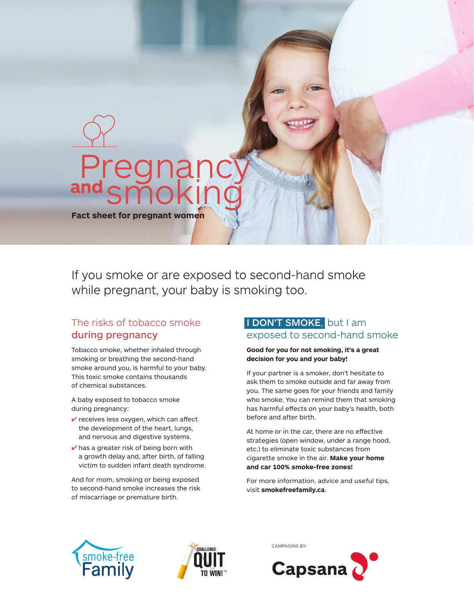

**Fact sheet for pregnant women** 

If you smoke or are exposed to second-hand smoke while pregnant, your baby is smoking too.

# The risks of tobacco smoke during pregnancy

Tobacco smoke, whether inhaled through smoking or breathing the second-hand smoke around you, is harmful to your baby. This toxic smoke contains thousands of chemical substances.

A baby exposed to tobacco smoke during pregnancy:

- $\checkmark$  receives less oxygen, which can affect the development of the heart, lungs, and nervous and digestive systems.
- $\vee$  has a greater risk of being born with a growth delay and, after birth, of falling victim to sudden infant death syndrome.

And for mom, smoking or being exposed to second-hand smoke increases the risk of miscarriage or premature birth.

### I DON'T SMOKE, but I am exposed to second-hand smoke

#### **Good for you for not smoking, it's a great decision for you and your baby!**

If your partner is a smoker, don't hesitate to ask them to smoke outside and far away from you. The same goes for your friends and family who smoke. You can remind them that smoking has harmful effects on your baby's health, both before and after birth.

At home or in the car, there are no effective strategies (open window, under a range hood, etc.) to eliminate toxic substances from cigarette smoke in the air. **Make your home and car 100% smoke-free zones!**

For more information, advice and useful tips, visit **smokefreefamily.ca**.







CAMPAIGNS BY: